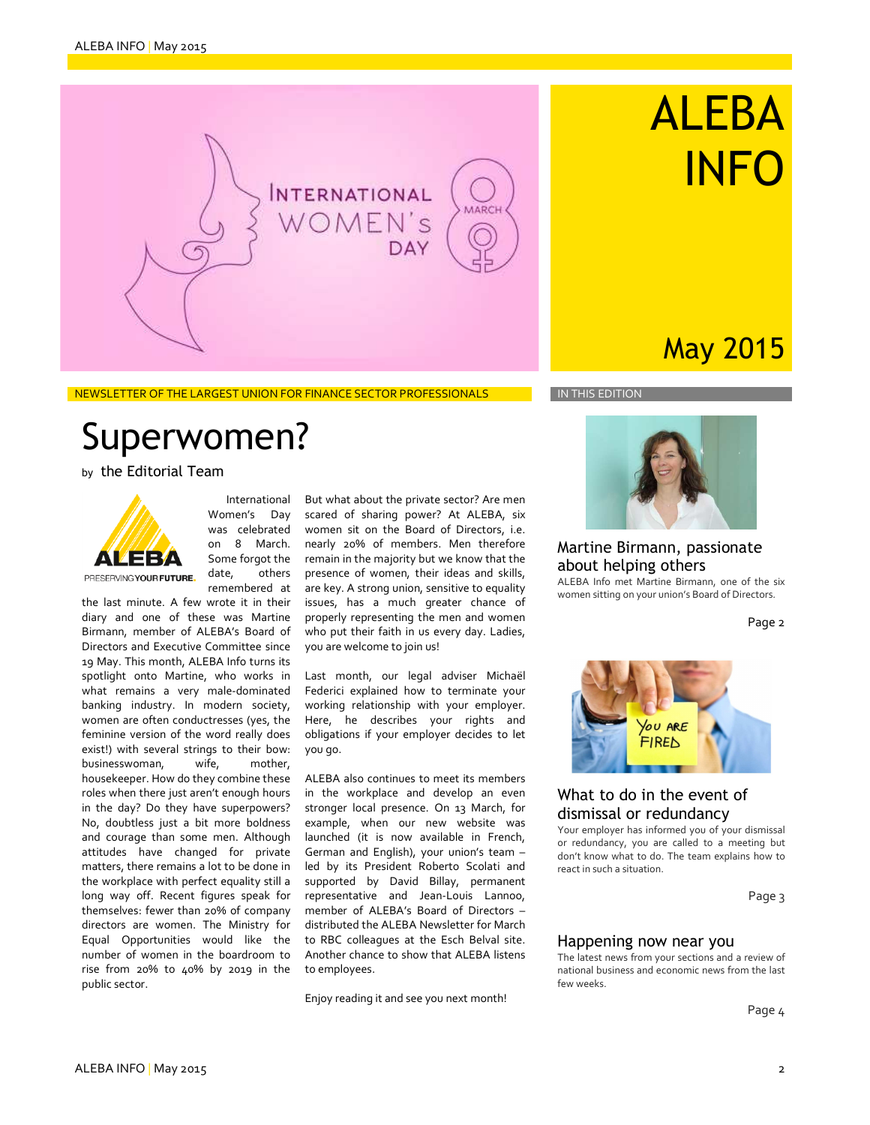

NEWSLETTER OF THE LARGEST UNION FOR FINANCE SECTOR PROFESSIONALS **IN THIS EDITION** 

# May 2015

ALEBA

INFO

# Superwomen?

by the Editorial Team



Women's Day was celebrated on 8 March. Some forgot the date, others remembered at

International

the last minute. A few wrote it in their diary and one of these was Martine Birmann, member of ALEBA's Board of Directors and Executive Committee since 19 May. This month, ALEBA Info turns its spotlight onto Martine, who works in what remains a very male-dominated banking industry. In modern society, women are often conductresses (yes, the feminine version of the word really does exist!) with several strings to their bow: businesswoman, wife, mother, housekeeper. How do they combine these roles when there just aren't enough hours in the day? Do they have superpowers? No, doubtless just a bit more boldness and courage than some men. Although attitudes have changed for private matters, there remains a lot to be done in the workplace with perfect equality still a long way off. Recent figures speak for themselves: fewer than 20% of company directors are women. The Ministry for Equal Opportunities would like the number of women in the boardroom to rise from 20% to 40% by 2019 in the public sector.

But what about the private sector? Are men scared of sharing power? At ALEBA, six women sit on the Board of Directors, i.e. nearly 20% of members. Men therefore remain in the majority but we know that the presence of women, their ideas and skills, are key. A strong union, sensitive to equality issues, has a much greater chance of properly representing the men and women who put their faith in us every day. Ladies, you are welcome to join us!

Last month, our legal adviser Michaël Federici explained how to terminate your working relationship with your employer. Here, he describes your rights and obligations if your employer decides to let you go.

ALEBA also continues to meet its members in the workplace and develop an even stronger local presence. On 13 March, for example, when our new website was launched (it is now available in French, German and English), your union's team – led by its President Roberto Scolati and supported by David Billay, permanent representative and Jean-Louis Lannoo, member of ALEBA's Board of Directors – distributed the ALEBA Newsletter for March to RBC colleagues at the Esch Belval site. Another chance to show that ALEBA listens to employees.

Enjoy reading it and see you next month!



Martine Birmann, passionate about helping others

ALEBA Info met Martine Birmann, one of the six women sitting on your union's Board of Directors.

Page 2



## What to do in the event of dismissal or redundancy

Your employer has informed you of your dismissal or redundancy, you are called to a meeting but don't know what to do. The team explains how to react in such a situation.

Page 3

#### Happening now near you

The latest news from your sections and a review of national business and economic news from the last few weeks.

Page 4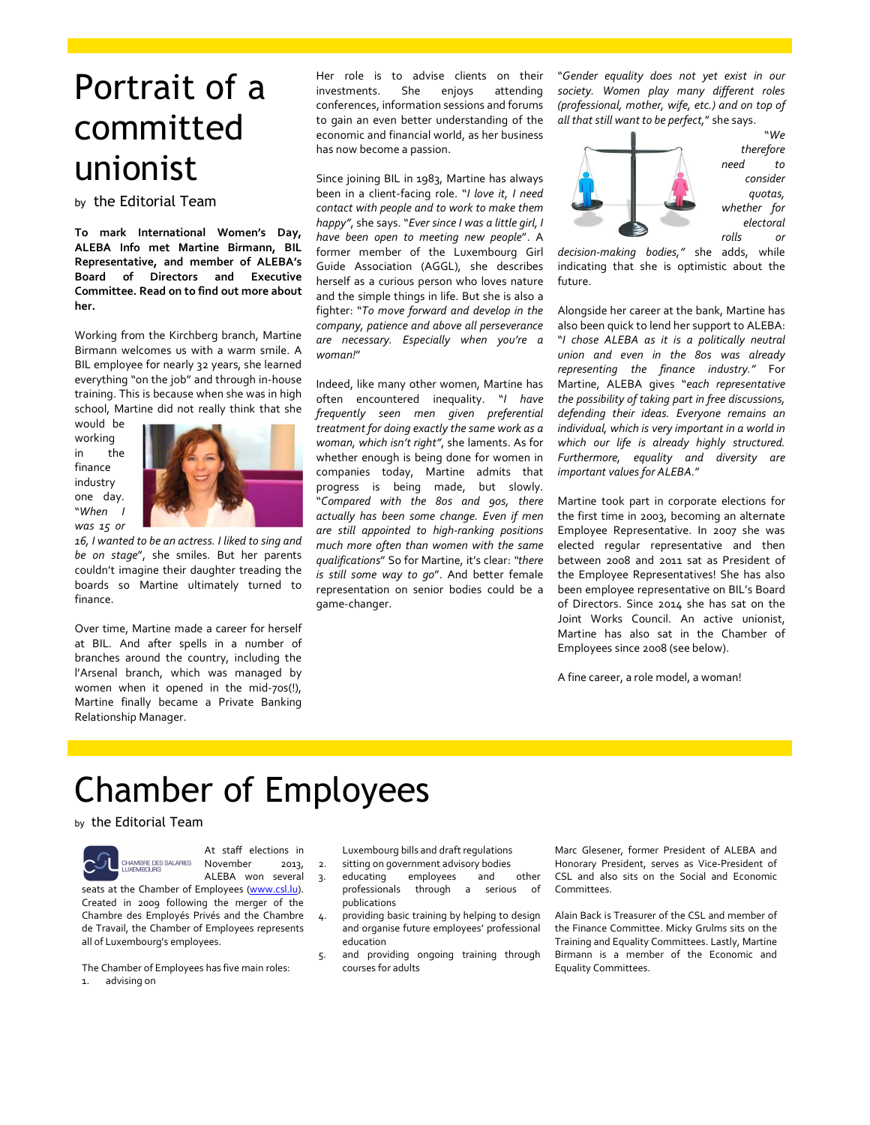# Portrait of a committed unionist

by the Editorial Team

**To mark International Women's Day, ALEBA Info met Martine Birmann, BIL Representative, and member of ALEBA's Board of Directors and Executive Committee. Read on to find out more about her.** 

Working from the Kirchberg branch, Martine Birmann welcomes us with a warm smile. A BIL employee for nearly 32 years, she learned everything "on the job" and through in-house training. This is because when she was in high school, Martine did not really think that she

would be working in the finance industry one day. "*When I was 15 or* 



*16, I wanted to be an actress. I liked to sing and be on stage*", she smiles. But her parents couldn't imagine their daughter treading the boards so Martine ultimately turned to finance.

Over time, Martine made a career for herself at BIL. And after spells in a number of branches around the country, including the l'Arsenal branch, which was managed by women when it opened in the mid-70s(!), Martine finally became a Private Banking Relationship Manager.

Her role is to advise clients on their investments. She enjoys attending conferences, information sessions and forums to gain an even better understanding of the economic and financial world, as her business has now become a passion.

Since joining BIL in 1983, Martine has always been in a client-facing role. "*I love it, I need contact with people and to work to make them happy"*, she says. "*Ever since I was a little girl, I have been open to meeting new people*". A former member of the Luxembourg Girl Guide Association (AGGL), she describes herself as a curious person who loves nature and the simple things in life. But she is also a fighter: "*To move forward and develop in the company, patience and above all perseverance are necessary. Especially when you're a woman!*"

Indeed, like many other women, Martine has often encountered inequality. "*I have frequently seen men given preferential treatment for doing exactly the same work as a woman, which isn't right"*, she laments. As for whether enough is being done for women in companies today, Martine admits that progress is being made, but slowly. "*Compared with the 80s and 90s, there actually has been some change. Even if men are still appointed to high-ranking positions much more often than women with the same qualifications*" So for Martine, it's clear: *"there is still some way to go*". And better female representation on senior bodies could be a game-changer.

"*Gender equality does not yet exist in our society. Women play many different roles (professional, mother, wife, etc.) and on top of all that still want to be perfect,*" she says.



"*We therefore need to consider quotas, whether for electoral rolls or* 

*decision-making bodies,"* she adds, while indicating that she is optimistic about the future.

Alongside her career at the bank, Martine has also been quick to lend her support to ALEBA: "*I chose ALEBA as it is a politically neutral union and even in the 80s was already representing the finance industry."* For Martine, ALEBA gives "*each representative the possibility of taking part in free discussions, defending their ideas. Everyone remains an individual, which is very important in a world in which our life is already highly structured. Furthermore, equality and diversity are important values for ALEBA.*"

Martine took part in corporate elections for the first time in 2003, becoming an alternate Employee Representative. In 2007 she was elected regular representative and then between 2008 and 2011 sat as President of the Employee Representatives! She has also been employee representative on BIL's Board of Directors. Since 2014 she has sat on the Joint Works Council. An active unionist, Martine has also sat in the Chamber of Employees since 2008 (see below).

A fine career, a role model, a woman!

# Chamber of Employees

### by the Editorial Team



At staff elections in HAMBRE DES SALARIES<br>JXEMBOURG November 2013, ALEBA won several

seats at the Chamber of Employees (www.csl.lu). Created in 2009 following the merger of the Chambre des Employés Privés and the Chambre de Travail, the Chamber of Employees represents all of Luxembourg's employees.

The Chamber of Employees has five main roles: 1. advising on

Luxembourg bills and draft regulations 2. sitting on government advisory bodies

- 3. educating employees and other professionals through a serious of
- publications 4. providing basic training by helping to design and organise future employees' professional education
- 5. and providing ongoing training through courses for adults

Marc Glesener, former President of ALEBA and Honorary President, serves as Vice-President of CSL and also sits on the Social and Economic Committees.

Alain Back is Treasurer of the CSL and member of the Finance Committee. Micky Grulms sits on the Training and Equality Committees. Lastly, Martine Birmann is a member of the Economic and Equality Committees.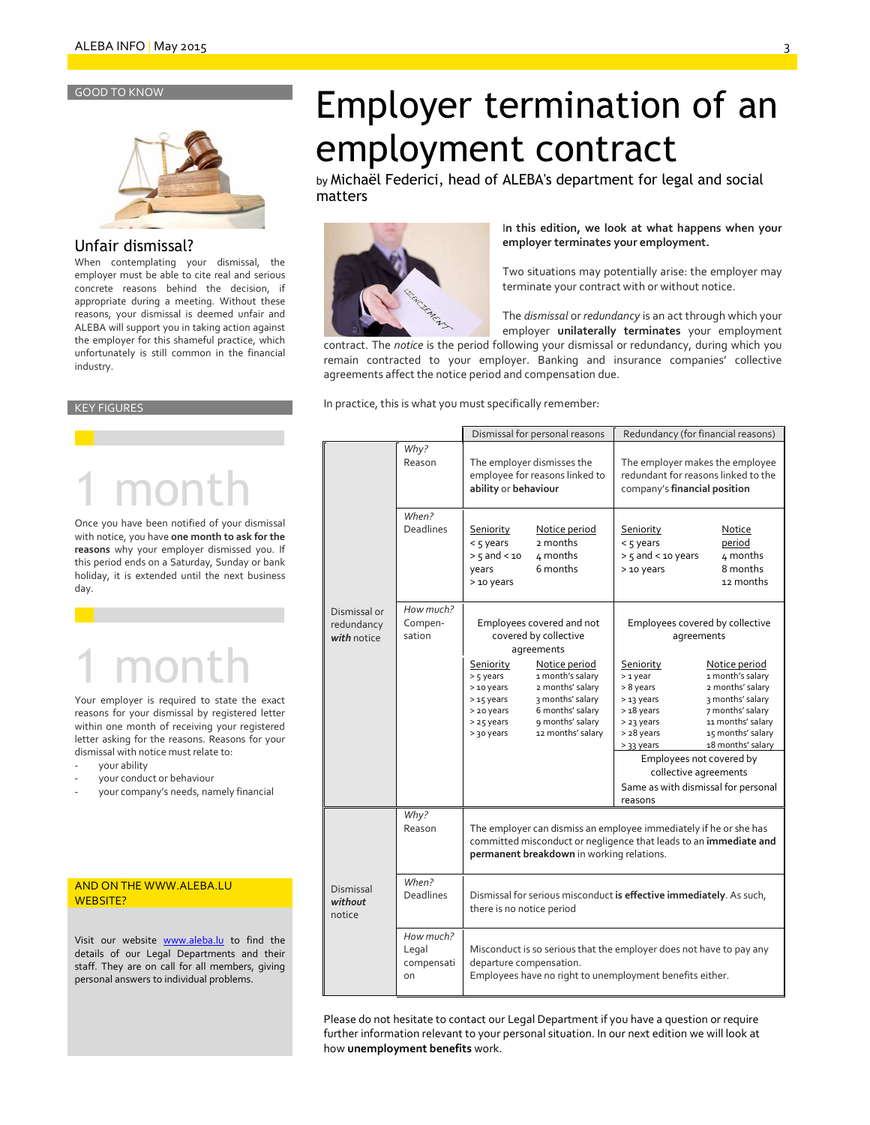

## Unfair dismissal?

When contemplating your dismissal, the employer must be able to cite real and serious concrete reasons behind the decision, if appropriate during a meeting. Without these reasons, your dismissal is deemed unfair and ALEBA will support you in taking action against the employer for this shameful practice, which unfortunately is still common in the financial industry.

#### KEY FIGURES

# 1 month

Once you have been notified of your dismissal with notice, you have **one month to ask for the reasons** why your employer dismissed you. If this period ends on a Saturday, Sunday or bank holiday, it is extended until the next business day.

# 1 month

Your employer is required to state the exact reasons for your dismissal by registered letter within one month of receiving your registered letter asking for the reasons. Reasons for your dismissal with notice must relate to:

- your ability
- your conduct or behaviour
- your company's needs, namely financial

### AND ON THE WWW.ALEBA.LU WEBSITE?

Visit our website www.aleba.lu to find the details of our Legal Departments and their staff. They are on call for all members, giving personal answers to individual problems.

# Employer termination of an employment contract

by Michaël Federici, head of ALEBA's department for legal and social matters



I**n this edition, we look at what happens when your employer terminates your employment.** 

Two situations may potentially arise: the employer may terminate your contract with or without notice.

The *dismissal* or *redundancy* is an act through which your employer **unilaterally terminates** your employment

contract. The *notice* is the period following your dismissal or redundancy, during which you remain contracted to your employer. Banking and insurance companies' collective agreements affect the notice period and compensation due.

In practice, this is what you must specifically remember:

|                                           |                                        | Dismissal for personal reasons                                                                                                                                                      |                                                                                                                                        | Redundancy (for financial reasons)                                                                       |                                                                                                                                                              |
|-------------------------------------------|----------------------------------------|-------------------------------------------------------------------------------------------------------------------------------------------------------------------------------------|----------------------------------------------------------------------------------------------------------------------------------------|----------------------------------------------------------------------------------------------------------|--------------------------------------------------------------------------------------------------------------------------------------------------------------|
| Dismissal or<br>redundancy<br>with notice | Why?<br>Reason                         | The employer dismisses the<br>employee for reasons linked to<br>ability or behaviour                                                                                                |                                                                                                                                        | The employer makes the employee<br>redundant for reasons linked to the<br>company's financial position   |                                                                                                                                                              |
|                                           | When?<br><b>Deadlines</b>              | Seniority<br>< 5 years<br>$> 5$ and $< 10$<br>years<br>> 10 years                                                                                                                   | Notice period<br>2 months<br>4 months<br>6 months                                                                                      | Seniority<br>< 5 years<br>$> 5$ and < 10 years<br>> 10 years                                             | Notice<br>period<br>4 months<br>8 months<br>12 months                                                                                                        |
|                                           | How much?<br>Compen-<br>sation         | Employees covered and not<br>covered by collective<br>agreements                                                                                                                    |                                                                                                                                        | Employees covered by collective<br>agreements                                                            |                                                                                                                                                              |
|                                           |                                        | Seniority<br>> 5 years<br>> 10 years<br>> 15 years<br>> 20 years<br>> 25 years<br>> 30 years                                                                                        | Notice period<br>1 month's salary<br>2 months' salary<br>3 months' salary<br>6 months' salary<br>9 months' salary<br>12 months' salary | Seniority<br>> 1 year<br>> 8 years<br>> 13 years<br>> 18 years<br>> 23 years<br>> 28 years<br>> 33 years | Notice period<br>1 month's salary<br>2 months' salary<br>3 months' salary<br>7 months' salary<br>11 months' salary<br>15 months' salary<br>18 months' salary |
|                                           |                                        |                                                                                                                                                                                     |                                                                                                                                        | Employees not covered by<br>collective agreements<br>Same as with dismissal for personal<br>reasons      |                                                                                                                                                              |
| Dismissal<br>without<br>notice            | Why?<br>Reason                         | The employer can dismiss an employee immediately if he or she has<br>committed misconduct or negligence that leads to an immediate and<br>permanent breakdown in working relations. |                                                                                                                                        |                                                                                                          |                                                                                                                                                              |
|                                           | When?<br><b>Deadlines</b>              | Dismissal for serious misconduct is effective immediately. As such,<br>there is no notice period                                                                                    |                                                                                                                                        |                                                                                                          |                                                                                                                                                              |
|                                           | How much?<br>Legal<br>compensati<br>on | Misconduct is so serious that the employer does not have to pay any<br>departure compensation.<br>Employees have no right to unemployment benefits either.                          |                                                                                                                                        |                                                                                                          |                                                                                                                                                              |

Please do not hesitate to contact our Legal Department if you have a question or require further information relevant to your personal situation. In our next edition we will look at how **unemployment benefits** work.